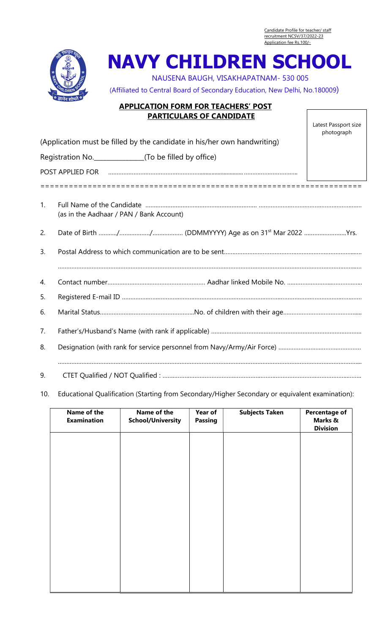Candidate Profile for teacher/ staff recruitment NCSV/37/2022-23 Application fee Rs.100/-



NAVY CHILDREN SCHOOL

NAUSENA BAUGH, VISAKHAPATNAM- 530 005

(Affiliated to Central Board of Secondary Education, New Delhi, No.180009)

## APPLICATION FORM FOR TEACHERS' POST PARTICULARS OF CANDIDATE

Latest Passport size photograph

|    | (Application must be filled by the candidate in his/her own handwriting) |  |  |  |  |  |  |
|----|--------------------------------------------------------------------------|--|--|--|--|--|--|
|    | Registration No._________________(To be filled by office)                |  |  |  |  |  |  |
|    |                                                                          |  |  |  |  |  |  |
|    |                                                                          |  |  |  |  |  |  |
| 1. | (as in the Aadhaar / PAN / Bank Account)                                 |  |  |  |  |  |  |
| 2. |                                                                          |  |  |  |  |  |  |
| 3. |                                                                          |  |  |  |  |  |  |
|    |                                                                          |  |  |  |  |  |  |
| 4. |                                                                          |  |  |  |  |  |  |
| 5. |                                                                          |  |  |  |  |  |  |
| 6. |                                                                          |  |  |  |  |  |  |
| 7. |                                                                          |  |  |  |  |  |  |
| 8. |                                                                          |  |  |  |  |  |  |
| 9. |                                                                          |  |  |  |  |  |  |

10. Educational Qualification (Starting from Secondary/Higher Secondary or equivalent examination):

| Name of the<br><b>Examination</b> | Name of the<br><b>School/University</b> | Year of<br><b>Passing</b> | <b>Subjects Taken</b> | <b>Percentage of</b><br>Marks &<br><b>Division</b> |
|-----------------------------------|-----------------------------------------|---------------------------|-----------------------|----------------------------------------------------|
|                                   |                                         |                           |                       |                                                    |
|                                   |                                         |                           |                       |                                                    |
|                                   |                                         |                           |                       |                                                    |
|                                   |                                         |                           |                       |                                                    |
|                                   |                                         |                           |                       |                                                    |
|                                   |                                         |                           |                       |                                                    |
|                                   |                                         |                           |                       |                                                    |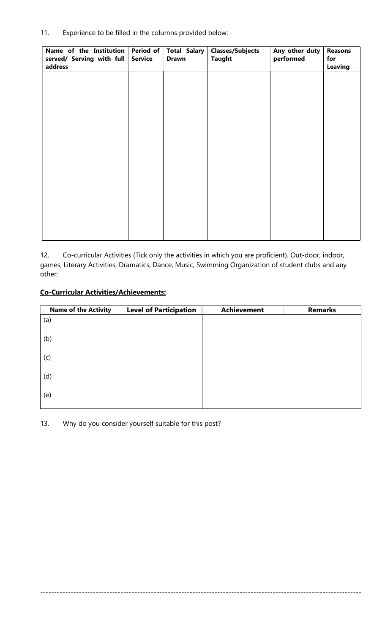11. Experience to be filled in the columns provided below: -

| Name of the Institution<br>served/ Serving with full | Period of<br><b>Service</b> | Total Salary<br><b>Drawn</b> | <b>Classes/Subjects</b><br><b>Taught</b> | Any other duty<br>performed | <b>Reasons</b><br>for |
|------------------------------------------------------|-----------------------------|------------------------------|------------------------------------------|-----------------------------|-----------------------|
| address                                              |                             |                              |                                          |                             | <b>Leaving</b>        |
|                                                      |                             |                              |                                          |                             |                       |
|                                                      |                             |                              |                                          |                             |                       |
|                                                      |                             |                              |                                          |                             |                       |
|                                                      |                             |                              |                                          |                             |                       |
|                                                      |                             |                              |                                          |                             |                       |
|                                                      |                             |                              |                                          |                             |                       |
|                                                      |                             |                              |                                          |                             |                       |
|                                                      |                             |                              |                                          |                             |                       |
|                                                      |                             |                              |                                          |                             |                       |

12. Co-curricular Activities (Tick only the activities in which you are proficient). Out-door, indoor, games, Literary Activities, Dramatics, Dance, Music, Swimming Organization of student clubs and any other:

## Co-Curricular Activities/Achievements:

| <b>Name of the Activity</b> | <b>Level of Participation</b> | <b>Achievement</b> | <b>Remarks</b> |
|-----------------------------|-------------------------------|--------------------|----------------|
| (a)                         |                               |                    |                |
| (b)                         |                               |                    |                |
| (c)                         |                               |                    |                |
| (d)                         |                               |                    |                |
| (e)                         |                               |                    |                |

--------------------------------------------------------------------------------------------------------------------

13. Why do you consider yourself suitable for this post?